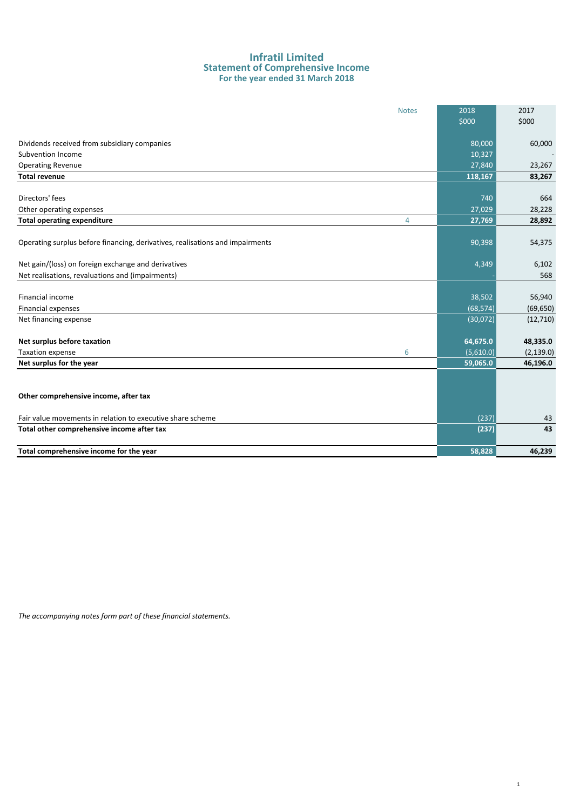#### **Infratil Limited Statement of Comprehensive Income For the year ended 31 March 2018**

|                                                                               | <b>Notes</b>   | 2018      | 2017       |
|-------------------------------------------------------------------------------|----------------|-----------|------------|
|                                                                               |                | \$000     | \$000      |
|                                                                               |                |           |            |
| Dividends received from subsidiary companies                                  |                | 80,000    | 60,000     |
| Subvention Income                                                             |                | 10,327    |            |
| <b>Operating Revenue</b>                                                      |                | 27,840    | 23,267     |
| <b>Total revenue</b>                                                          |                | 118,167   | 83,267     |
|                                                                               |                |           |            |
| Directors' fees                                                               |                | 740       | 664        |
| Other operating expenses                                                      |                | 27,029    | 28,228     |
| <b>Total operating expenditure</b>                                            | $\overline{4}$ | 27,769    | 28,892     |
|                                                                               |                |           |            |
| Operating surplus before financing, derivatives, realisations and impairments |                | 90,398    | 54,375     |
|                                                                               |                |           |            |
| Net gain/(loss) on foreign exchange and derivatives                           |                | 4,349     | 6,102      |
| Net realisations, revaluations and (impairments)                              |                |           | 568        |
|                                                                               |                |           |            |
| Financial income                                                              |                | 38,502    | 56,940     |
| Financial expenses                                                            |                | (68, 574) | (69, 650)  |
| Net financing expense                                                         |                | (30,072)  | (12,710)   |
|                                                                               |                |           |            |
| Net surplus before taxation                                                   |                | 64,675.0  | 48,335.0   |
| Taxation expense                                                              | 6              | (5,610.0) | (2, 139.0) |
| Net surplus for the year                                                      |                | 59,065.0  | 46,196.0   |
|                                                                               |                |           |            |
|                                                                               |                |           |            |
| Other comprehensive income, after tax                                         |                |           |            |
|                                                                               |                |           |            |
| Fair value movements in relation to executive share scheme                    |                | (237)     | 43         |
| Total other comprehensive income after tax                                    |                | (237)     | 43         |
|                                                                               |                |           |            |
| Total comprehensive income for the year                                       |                | 58,828    | 46,239     |

1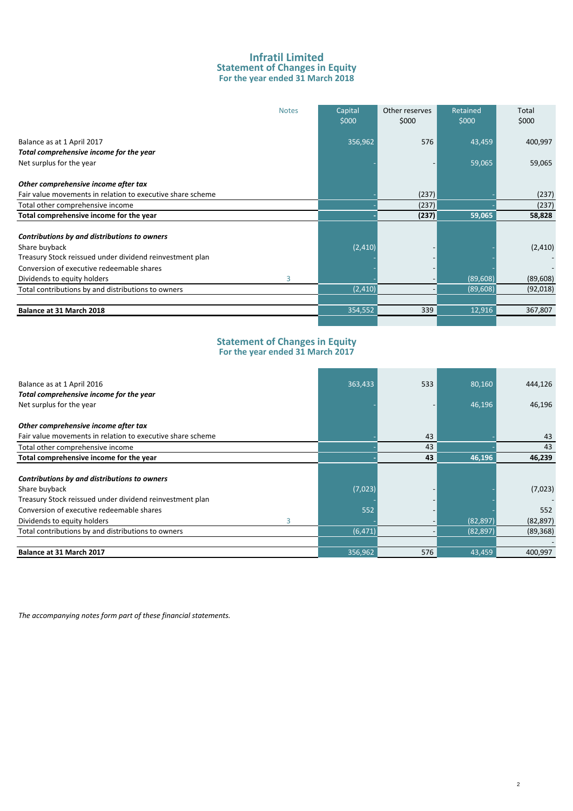### **Infratil Limited Statement of Changes in Equity For the year ended 31 March 2018**

| <b>Notes</b>                                                                                                                                                                                                                                                     | Capital<br>\$000     | Other reserves<br>\$000 | Retained<br>\$000      | Total<br>\$000                    |
|------------------------------------------------------------------------------------------------------------------------------------------------------------------------------------------------------------------------------------------------------------------|----------------------|-------------------------|------------------------|-----------------------------------|
| Balance as at 1 April 2017                                                                                                                                                                                                                                       | 356,962              | 576                     | 43,459                 | 400,997                           |
| Total comprehensive income for the year                                                                                                                                                                                                                          |                      |                         |                        |                                   |
| Net surplus for the year                                                                                                                                                                                                                                         |                      |                         | 59,065                 | 59,065                            |
| Other comprehensive income after tax                                                                                                                                                                                                                             |                      |                         |                        |                                   |
| Fair value movements in relation to executive share scheme                                                                                                                                                                                                       |                      | (237)                   |                        | (237)                             |
| Total other comprehensive income                                                                                                                                                                                                                                 |                      | (237)                   |                        | (237)                             |
| Total comprehensive income for the year                                                                                                                                                                                                                          |                      | (237)                   | 59,065                 | 58,828                            |
| Contributions by and distributions to owners<br>Share buyback<br>Treasury Stock reissued under dividend reinvestment plan<br>Conversion of executive redeemable shares<br>3<br>Dividends to equity holders<br>Total contributions by and distributions to owners | (2, 410)<br>(2, 410) |                         | (89, 608)<br>(89, 608) | (2, 410)<br>(89, 608)<br>(92,018) |
| Balance at 31 March 2018                                                                                                                                                                                                                                         | 354,552              | 339                     | 12,916                 | 367,807                           |
|                                                                                                                                                                                                                                                                  |                      |                         |                        |                                   |

#### **Statement of Changes in Equity For the year ended 31 March 2017**

| Balance as at 1 April 2016                                 | 363,433  | 533 | 80,160    | 444,126   |
|------------------------------------------------------------|----------|-----|-----------|-----------|
| Total comprehensive income for the year                    |          |     |           |           |
| Net surplus for the year                                   |          |     | 46,196    | 46,196    |
| Other comprehensive income after tax                       |          |     |           |           |
| Fair value movements in relation to executive share scheme |          | 43  |           | 43        |
| Total other comprehensive income                           |          | 43  |           | 43        |
| Total comprehensive income for the year                    |          | 43  | 46,196    | 46,239    |
|                                                            |          |     |           |           |
| Contributions by and distributions to owners               |          |     |           |           |
| Share buyback                                              | (7,023)  |     |           | (7,023)   |
| Treasury Stock reissued under dividend reinvestment plan   |          |     |           |           |
| Conversion of executive redeemable shares                  | 552      |     |           | 552       |
| 3<br>Dividends to equity holders                           |          |     | (82,897)  | (82, 897) |
| Total contributions by and distributions to owners         | (6, 471) |     | (82, 897) | (89, 368) |
|                                                            |          |     |           |           |
| Balance at 31 March 2017                                   | 356,962  | 576 | 43,459    | 400,997   |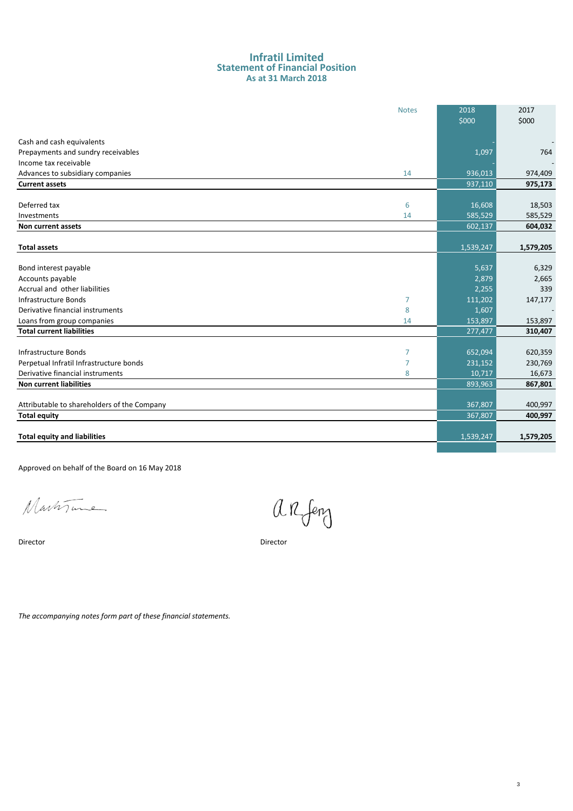#### **As at 31 March 2018 Statement of Financial Position Infratil Limited**

|                                             | <b>Notes</b>   | 2018      | 2017      |
|---------------------------------------------|----------------|-----------|-----------|
|                                             |                | \$000     | \$000     |
|                                             |                |           |           |
| Cash and cash equivalents                   |                |           |           |
| Prepayments and sundry receivables          |                | 1,097     | 764       |
| Income tax receivable                       |                |           |           |
| Advances to subsidiary companies            | 14             | 936,013   | 974,409   |
| <b>Current assets</b>                       |                | 937,110   | 975,173   |
|                                             |                |           |           |
| Deferred tax                                | 6              | 16,608    | 18,503    |
| Investments                                 | 14             | 585,529   | 585,529   |
| Non current assets                          |                | 602,137   | 604,032   |
|                                             |                |           |           |
| <b>Total assets</b>                         |                | 1,539,247 | 1,579,205 |
|                                             |                |           |           |
| Bond interest payable                       |                | 5,637     | 6,329     |
| Accounts payable                            |                | 2,879     | 2,665     |
| Accrual and other liabilities               |                | 2,255     | 339       |
| Infrastructure Bonds                        | 7              | 111,202   | 147,177   |
| Derivative financial instruments            | 8              | 1,607     |           |
| Loans from group companies                  | 14             | 153,897   | 153,897   |
| <b>Total current liabilities</b>            |                | 277,477   | 310,407   |
|                                             |                |           |           |
| Infrastructure Bonds                        | $\overline{7}$ | 652,094   | 620,359   |
| Perpetual Infratil Infrastructure bonds     | $\overline{7}$ | 231,152   | 230,769   |
| Derivative financial instruments            | 8              | 10,717    | 16,673    |
| <b>Non current liabilities</b>              |                | 893,963   | 867,801   |
|                                             |                |           |           |
| Attributable to shareholders of the Company |                | 367,807   | 400,997   |
| <b>Total equity</b>                         |                | 367,807   | 400,997   |
|                                             |                |           |           |
| <b>Total equity and liabilities</b>         |                | 1,539,247 | 1,579,205 |
|                                             |                |           |           |

Approved on behalf of the Board on 16 May 2018

Martine

Director Director

arfeng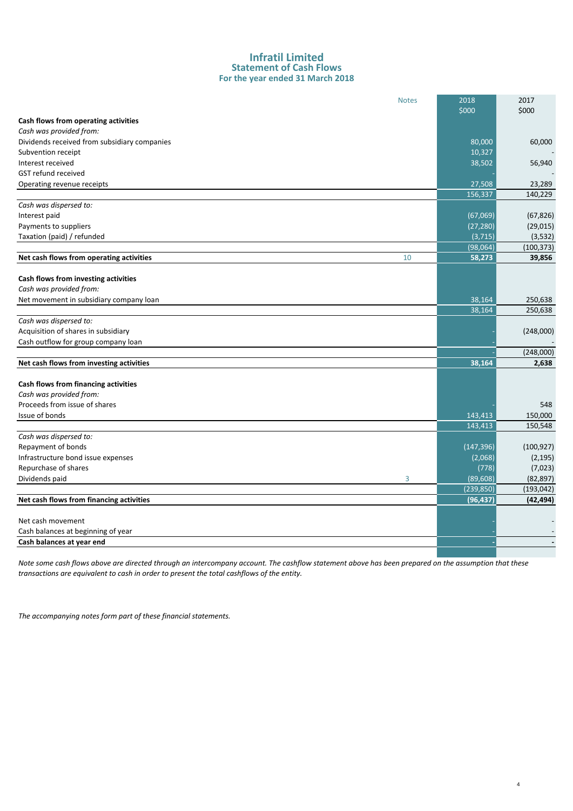#### **For the year ended 31 March 2018 Infratil Limited Statement of Cash Flows**

|                                              | <b>Notes</b> | 2018       | 2017       |
|----------------------------------------------|--------------|------------|------------|
|                                              |              | \$000      | \$000      |
| Cash flows from operating activities         |              |            |            |
| Cash was provided from:                      |              |            |            |
| Dividends received from subsidiary companies |              | 80,000     | 60,000     |
| Subvention receipt                           |              | 10,327     |            |
| Interest received                            |              | 38,502     | 56,940     |
| <b>GST refund received</b>                   |              |            |            |
| Operating revenue receipts                   |              | 27,508     | 23,289     |
|                                              |              | 156,337    | 140,229    |
| Cash was dispersed to:                       |              |            |            |
| Interest paid                                |              | (67,069)   | (67, 826)  |
| Payments to suppliers                        |              | (27, 280)  | (29, 015)  |
| Taxation (paid) / refunded                   |              | (3, 715)   | (3,532)    |
|                                              |              | (98,064)   | (100, 373) |
| Net cash flows from operating activities     | 10           | 58,273     | 39,856     |
|                                              |              |            |            |
| Cash flows from investing activities         |              |            |            |
| Cash was provided from:                      |              |            |            |
| Net movement in subsidiary company loan      |              | 38,164     | 250,638    |
|                                              |              | 38,164     | 250,638    |
| Cash was dispersed to:                       |              |            |            |
| Acquisition of shares in subsidiary          |              |            | (248,000)  |
| Cash outflow for group company loan          |              |            |            |
|                                              |              |            | (248,000)  |
| Net cash flows from investing activities     |              | 38,164     | 2,638      |
|                                              |              |            |            |
| Cash flows from financing activities         |              |            |            |
| Cash was provided from:                      |              |            |            |
| Proceeds from issue of shares                |              |            | 548        |
| Issue of bonds                               |              | 143,413    | 150,000    |
|                                              |              | 143,413    | 150,548    |
| Cash was dispersed to:                       |              |            |            |
| Repayment of bonds                           |              | (147, 396) | (100, 927) |
| Infrastructure bond issue expenses           |              | (2,068)    | (2, 195)   |
| Repurchase of shares                         |              | (778)      | (7,023)    |
| Dividends paid                               | 3            | (89, 608)  | (82, 897)  |
|                                              |              | (239, 850) | (193, 042) |
| Net cash flows from financing activities     |              | (96, 437)  | (42, 494)  |
|                                              |              |            |            |
| Net cash movement                            |              |            |            |
| Cash balances at beginning of year           |              |            |            |
| Cash balances at year end                    |              |            |            |
|                                              |              |            |            |

*Note some cash flows above are directed through an intercompany account. The cashflow statement above has been prepared on the assumption that these transactions are equivalent to cash in order to present the total cashflows of the entity.*

4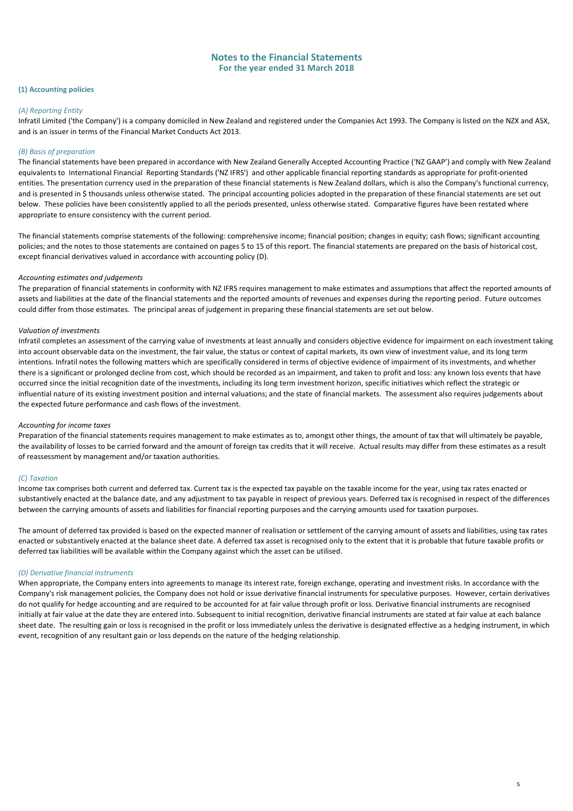#### **(1) Accounting policies**

#### *(A) Reporting Entity*

Infratil Limited ('the Company') is a company domiciled in New Zealand and registered under the Companies Act 1993. The Company is listed on the NZX and ASX, and is an issuer in terms of the Financial Market Conducts Act 2013.

#### *(B) Basis of preparation*

The financial statements have been prepared in accordance with New Zealand Generally Accepted Accounting Practice ('NZ GAAP') and comply with New Zealand equivalents to International Financial Reporting Standards ('NZ IFRS') and other applicable financial reporting standards as appropriate for profit-oriented entities. The presentation currency used in the preparation of these financial statements is New Zealand dollars, which is also the Company's functional currency, and is presented in \$ thousands unless otherwise stated. The principal accounting policies adopted in the preparation of these financial statements are set out below. These policies have been consistently applied to all the periods presented, unless otherwise stated. Comparative figures have been restated where appropriate to ensure consistency with the current period.

The financial statements comprise statements of the following: comprehensive income; financial position; changes in equity; cash flows; significant accounting policies; and the notes to those statements are contained on pages 5 to 15 of this report. The financial statements are prepared on the basis of historical cost, except financial derivatives valued in accordance with accounting policy (D).

#### *Accounting estimates and judgements*

The preparation of financial statements in conformity with NZ IFRS requires management to make estimates and assumptions that affect the reported amounts of assets and liabilities at the date of the financial statements and the reported amounts of revenues and expenses during the reporting period. Future outcomes could differ from those estimates. The principal areas of judgement in preparing these financial statements are set out below.

#### *Valuation of investments*

Infratil completes an assessment of the carrying value of investments at least annually and considers objective evidence for impairment on each investment taking into account observable data on the investment, the fair value, the status or context of capital markets, its own view of investment value, and its long term intentions. Infratil notes the following matters which are specifically considered in terms of objective evidence of impairment of its investments, and whether there is a significant or prolonged decline from cost, which should be recorded as an impairment, and taken to profit and loss: any known loss events that have occurred since the initial recognition date of the investments, including its long term investment horizon, specific initiatives which reflect the strategic or influential nature of its existing investment position and internal valuations; and the state of financial markets. The assessment also requires judgements about the expected future performance and cash flows of the investment.

#### *Accounting for income taxes*

Preparation of the financial statements requires management to make estimates as to, amongst other things, the amount of tax that will ultimately be payable, the availability of losses to be carried forward and the amount of foreign tax credits that it will receive. Actual results may differ from these estimates as a result of reassessment by management and/or taxation authorities.

#### *(C) Taxation*

Income tax comprises both current and deferred tax. Current tax is the expected tax payable on the taxable income for the year, using tax rates enacted or substantively enacted at the balance date, and any adjustment to tax payable in respect of previous years. Deferred tax is recognised in respect of the differences between the carrying amounts of assets and liabilities for financial reporting purposes and the carrying amounts used for taxation purposes.

The amount of deferred tax provided is based on the expected manner of realisation or settlement of the carrying amount of assets and liabilities, using tax rates enacted or substantively enacted at the balance sheet date. A deferred tax asset is recognised only to the extent that it is probable that future taxable profits or deferred tax liabilities will be available within the Company against which the asset can be utilised.

#### *(D) Derivative financial instruments*

When appropriate, the Company enters into agreements to manage its interest rate, foreign exchange, operating and investment risks. In accordance with the Company's risk management policies, the Company does not hold or issue derivative financial instruments for speculative purposes. However, certain derivatives do not qualify for hedge accounting and are required to be accounted for at fair value through profit or loss. Derivative financial instruments are recognised initially at fair value at the date they are entered into. Subsequent to initial recognition, derivative financial instruments are stated at fair value at each balance sheet date. The resulting gain or loss is recognised in the profit or loss immediately unless the derivative is designated effective as a hedging instrument, in which event, recognition of any resultant gain or loss depends on the nature of the hedging relationship.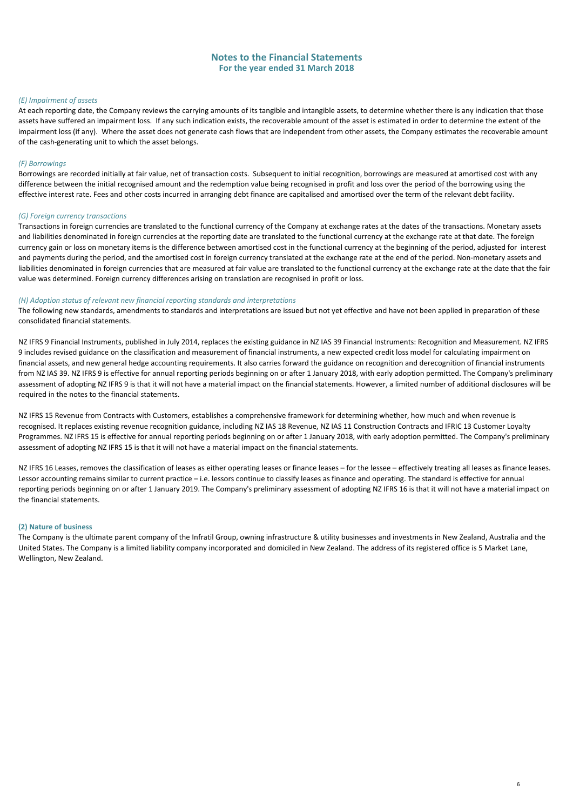#### *(E) Impairment of assets*

At each reporting date, the Company reviews the carrying amounts of its tangible and intangible assets, to determine whether there is any indication that those assets have suffered an impairment loss. If any such indication exists, the recoverable amount of the asset is estimated in order to determine the extent of the impairment loss (if any). Where the asset does not generate cash flows that are independent from other assets, the Company estimates the recoverable amount of the cash-generating unit to which the asset belongs.

#### *(F) Borrowings*

Borrowings are recorded initially at fair value, net of transaction costs. Subsequent to initial recognition, borrowings are measured at amortised cost with any difference between the initial recognised amount and the redemption value being recognised in profit and loss over the period of the borrowing using the effective interest rate. Fees and other costs incurred in arranging debt finance are capitalised and amortised over the term of the relevant debt facility.

#### *(G) Foreign currency transactions*

Transactions in foreign currencies are translated to the functional currency of the Company at exchange rates at the dates of the transactions. Monetary assets and liabilities denominated in foreign currencies at the reporting date are translated to the functional currency at the exchange rate at that date. The foreign currency gain or loss on monetary items is the difference between amortised cost in the functional currency at the beginning of the period, adjusted for interest and payments during the period, and the amortised cost in foreign currency translated at the exchange rate at the end of the period. Non-monetary assets and liabilities denominated in foreign currencies that are measured at fair value are translated to the functional currency at the exchange rate at the date that the fair value was determined. Foreign currency differences arising on translation are recognised in profit or loss.

#### *(H) Adoption status of relevant new financial reporting standards and interpretations*

The following new standards, amendments to standards and interpretations are issued but not yet effective and have not been applied in preparation of these consolidated financial statements.

NZ IFRS 9 Financial Instruments, published in July 2014, replaces the existing guidance in NZ IAS 39 Financial Instruments: Recognition and Measurement. NZ IFRS 9 includes revised guidance on the classification and measurement of financial instruments, a new expected credit loss model for calculating impairment on financial assets, and new general hedge accounting requirements. It also carries forward the guidance on recognition and derecognition of financial instruments from NZ IAS 39. NZ IFRS 9 is effective for annual reporting periods beginning on or after 1 January 2018, with early adoption permitted. The Company's preliminary assessment of adopting NZ IFRS 9 is that it will not have a material impact on the financial statements. However, a limited number of additional disclosures will be required in the notes to the financial statements.

NZ IFRS 15 Revenue from Contracts with Customers, establishes a comprehensive framework for determining whether, how much and when revenue is recognised. It replaces existing revenue recognition guidance, including NZ IAS 18 Revenue, NZ IAS 11 Construction Contracts and IFRIC 13 Customer Loyalty Programmes. NZ IFRS 15 is effective for annual reporting periods beginning on or after 1 January 2018, with early adoption permitted. The Company's preliminary assessment of adopting NZ IFRS 15 is that it will not have a material impact on the financial statements.

NZ IFRS 16 Leases, removes the classification of leases as either operating leases or finance leases – for the lessee – effectively treating all leases as finance leases. Lessor accounting remains similar to current practice – i.e. lessors continue to classify leases as finance and operating. The standard is effective for annual reporting periods beginning on or after 1 January 2019. The Company's preliminary assessment of adopting NZ IFRS 16 is that it will not have a material impact on the financial statements.

#### **(2) Nature of business**

The Company is the ultimate parent company of the Infratil Group, owning infrastructure & utility businesses and investments in New Zealand, Australia and the United States. The Company is a limited liability company incorporated and domiciled in New Zealand. The address of its registered office is 5 Market Lane, Wellington, New Zealand.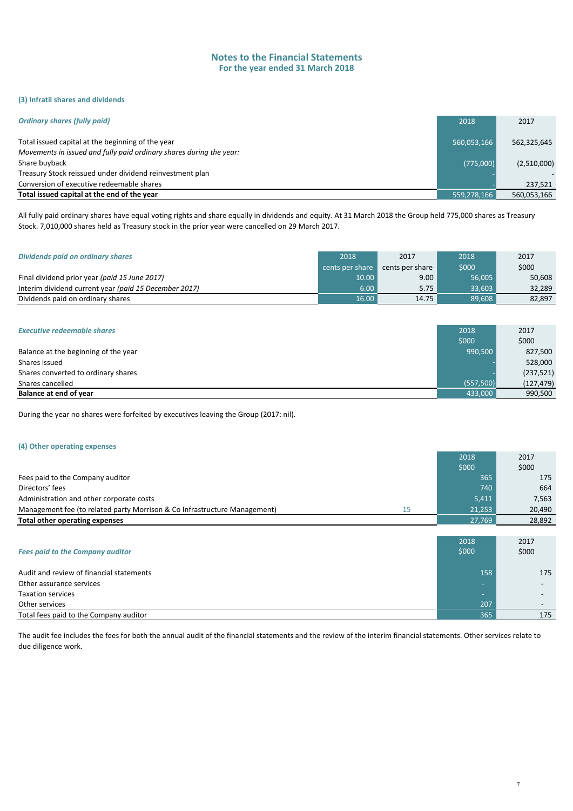#### **(3) Infratil shares and dividends**

| <b>Ordinary shares (fully paid)</b>                                                                                      | 2018        | 2017        |
|--------------------------------------------------------------------------------------------------------------------------|-------------|-------------|
| Total issued capital at the beginning of the year<br>Movements in issued and fully paid ordinary shares during the year: | 560,053,166 | 562,325,645 |
| Share buyback                                                                                                            | (775,000)   | (2,510,000) |
| Treasury Stock reissued under dividend reinvestment plan                                                                 |             |             |
| Conversion of executive redeemable shares                                                                                |             | 237.521     |
| Total issued capital at the end of the year                                                                              | 559,278,166 | 560,053,166 |

All fully paid ordinary shares have equal voting rights and share equally in dividends and equity. At 31 March 2018 the Group held 775,000 shares as Treasury Stock. 7,010,000 shares held as Treasury stock in the prior year were cancelled on 29 March 2017.

| Dividends paid on ordinary shares                     | 2018            | 2017            | 2018   | 2017   |
|-------------------------------------------------------|-----------------|-----------------|--------|--------|
|                                                       | cents per share | cents per share | \$000  | \$000  |
| Final dividend prior year (paid 15 June 2017)         | 10.00           | 9.00            | 56.005 | 50,608 |
| Interim dividend current year (paid 15 December 2017) | 6.00            | 5.75            | 33.603 | 32.289 |
| Dividends paid on ordinary shares                     | 16.00           | 14.75           | 89,608 | 82,897 |

| <b>Executive redeemable shares</b>   | 2018      | 2017       |
|--------------------------------------|-----------|------------|
|                                      | \$000     | \$000      |
| Balance at the beginning of the year | 990.500   | 827,500    |
| Shares issued                        |           | 528,000    |
| Shares converted to ordinary shares  |           | (237, 521) |
| Shares cancelled                     | (557,500) | (127, 479) |
| Balance at end of year               | 433,000   | 990,500    |

During the year no shares were forfeited by executives leaving the Group (2017: nil).

#### **(4) Other operating expenses**

|                                                                           |    | 2018                     | 2017   |
|---------------------------------------------------------------------------|----|--------------------------|--------|
|                                                                           |    | \$000                    | \$000  |
| Fees paid to the Company auditor                                          |    | 365                      | 175    |
| Directors' fees                                                           |    | 740                      | 664    |
| Administration and other corporate costs                                  |    | 5,411                    | 7,563  |
| Management fee (to related party Morrison & Co Infrastructure Management) | 15 | 21,253                   | 20,490 |
| Total other operating expenses                                            |    | 27,769                   | 28,892 |
|                                                                           |    |                          |        |
|                                                                           |    | 2018                     | 2017   |
| <b>Fees paid to the Company auditor</b>                                   |    | \$000                    | \$000  |
| Audit and review of financial statements                                  |    | 158                      | 175    |
| Other assurance services                                                  |    | ÷                        |        |
| <b>Taxation services</b>                                                  |    | $\overline{\phantom{a}}$ |        |
| Other services                                                            |    | 207                      |        |
| Total fees paid to the Company auditor                                    |    | 365                      | 175    |

The audit fee includes the fees for both the annual audit of the financial statements and the review of the interim financial statements. Other services relate to due diligence work.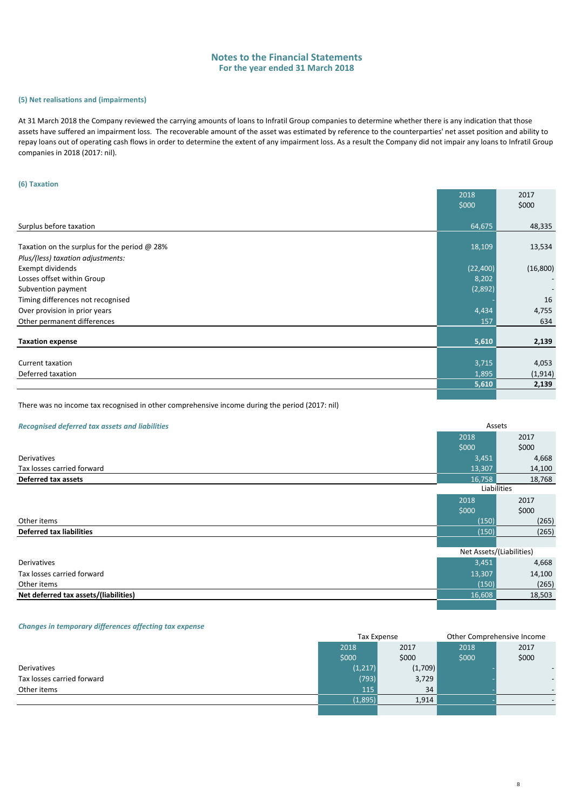#### **(5) Net realisations and (impairments)**

At 31 March 2018 the Company reviewed the carrying amounts of loans to Infratil Group companies to determine whether there is any indication that those assets have suffered an impairment loss. The recoverable amount of the asset was estimated by reference to the counterparties' net asset position and ability to repay loans out of operating cash flows in order to determine the extent of any impairment loss. As a result the Company did not impair any loans to Infratil Group companies in 2018 (2017: nil).

#### **(6) Taxation**

|                                              | 2018      | 2017                     |
|----------------------------------------------|-----------|--------------------------|
|                                              | \$000     | \$000                    |
|                                              |           |                          |
| Surplus before taxation                      | 64,675    | 48,335                   |
|                                              |           |                          |
| Taxation on the surplus for the period @ 28% | 18,109    | 13,534                   |
| Plus/(less) taxation adjustments:            |           |                          |
| Exempt dividends                             | (22, 400) | (16, 800)                |
| Losses offset within Group                   | 8,202     | $\overline{\phantom{a}}$ |
| Subvention payment                           | (2,892)   |                          |
| Timing differences not recognised            |           | 16                       |
| Over provision in prior years                | 4,434     | 4,755                    |
| Other permanent differences                  | 157       | 634                      |
|                                              |           |                          |
| <b>Taxation expense</b>                      | 5,610     | 2,139                    |
|                                              |           |                          |
| Current taxation                             | 3,715     | 4,053                    |
| Deferred taxation                            | 1,895     | (1, 914)                 |
|                                              | 5,610     | 2,139                    |
|                                              |           |                          |

There was no income tax recognised in other comprehensive income during the period (2017: nil)

#### *Recognised deferred tax assets and liabilities*

| <b>Recognised deferred tax assets and liabilities</b> |        | Assets                   |  |
|-------------------------------------------------------|--------|--------------------------|--|
|                                                       | 2018   | 2017                     |  |
|                                                       | \$000  | \$000                    |  |
| Derivatives                                           | 3,451  | 4,668                    |  |
| Tax losses carried forward                            | 13,307 | 14,100                   |  |
| <b>Deferred tax assets</b>                            | 16,758 | 18,768                   |  |
|                                                       |        | Liabilities              |  |
|                                                       | 2018   | 2017                     |  |
|                                                       | \$000  | \$000                    |  |
| Other items                                           | (150)  | (265)                    |  |
| <b>Deferred tax liabilities</b>                       | (150)  | (265)                    |  |
|                                                       |        |                          |  |
|                                                       |        | Net Assets/(Liabilities) |  |
| <b>Derivatives</b>                                    | 3,451  | 4,668                    |  |
| Tax losses carried forward                            | 13,307 | 14,100                   |  |
| Other items                                           | (150)  | (265)                    |  |
| Net deferred tax assets/(liabilities)                 | 16,608 | 18,503                   |  |
|                                                       |        |                          |  |

#### *Changes in temporary differences affecting tax expense*

|                            | <b>Tax Expense</b> |         | Other Comprehensive Income |                          |  |
|----------------------------|--------------------|---------|----------------------------|--------------------------|--|
|                            | 2018               | 2017    | 2018                       | 2017                     |  |
|                            | \$000              | \$000   | \$000                      | \$000                    |  |
| Derivatives                | (1, 217)           | (1,709) |                            | $\overline{\phantom{a}}$ |  |
| Tax losses carried forward | (793)              | 3,729   |                            | $\overline{\phantom{a}}$ |  |
| Other items                | 115                | 34      |                            | $\overline{\phantom{a}}$ |  |
|                            | (1,895)            | 1,914   |                            |                          |  |
|                            |                    |         |                            |                          |  |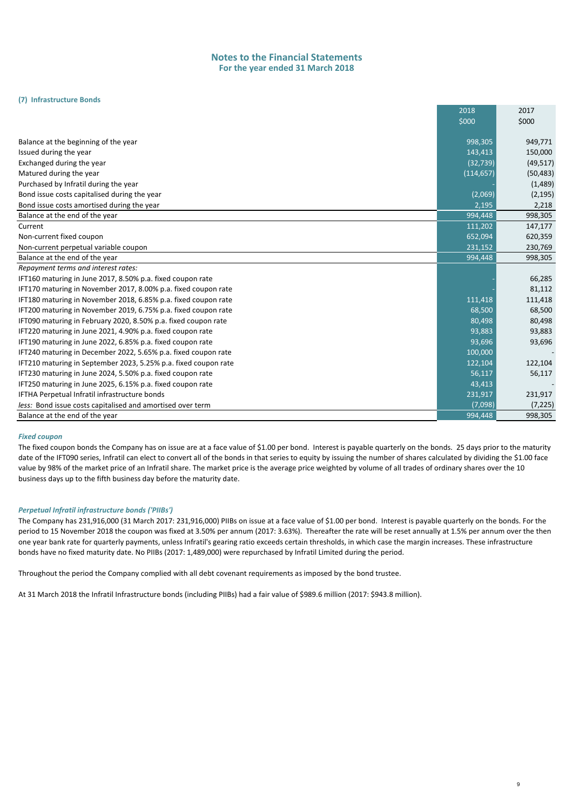#### **(7) Infrastructure Bonds**

|                                                                 | 2018       | 2017      |
|-----------------------------------------------------------------|------------|-----------|
|                                                                 | \$000      | \$000     |
| Balance at the beginning of the year                            | 998,305    | 949,771   |
| Issued during the year                                          | 143,413    | 150,000   |
| Exchanged during the year                                       | (32, 739)  | (49, 517) |
| Matured during the year                                         | (114, 657) | (50, 483) |
| Purchased by Infratil during the year                           |            | (1,489)   |
| Bond issue costs capitalised during the year                    | (2,069)    | (2, 195)  |
| Bond issue costs amortised during the year                      | 2,195      | 2,218     |
| Balance at the end of the year                                  | 994,448    | 998,305   |
| Current                                                         | 111,202    | 147,177   |
| Non-current fixed coupon                                        | 652,094    | 620,359   |
| Non-current perpetual variable coupon                           | 231,152    | 230,769   |
| Balance at the end of the year                                  | 994,448    | 998,305   |
| Repayment terms and interest rates:                             |            |           |
| IFT160 maturing in June 2017, 8.50% p.a. fixed coupon rate      |            | 66,285    |
| IFT170 maturing in November 2017, 8.00% p.a. fixed coupon rate  |            | 81,112    |
| IFT180 maturing in November 2018, 6.85% p.a. fixed coupon rate  | 111,418    | 111,418   |
| IFT200 maturing in November 2019, 6.75% p.a. fixed coupon rate  | 68,500     | 68,500    |
| IFT090 maturing in February 2020, 8.50% p.a. fixed coupon rate  | 80,498     | 80,498    |
| IFT220 maturing in June 2021, 4.90% p.a. fixed coupon rate      | 93,883     | 93,883    |
| IFT190 maturing in June 2022, 6.85% p.a. fixed coupon rate      | 93,696     | 93,696    |
| IFT240 maturing in December 2022, 5.65% p.a. fixed coupon rate  | 100,000    |           |
| IFT210 maturing in September 2023, 5.25% p.a. fixed coupon rate | 122,104    | 122,104   |
| IFT230 maturing in June 2024, 5.50% p.a. fixed coupon rate      | 56,117     | 56,117    |
| IFT250 maturing in June 2025, 6.15% p.a. fixed coupon rate      | 43,413     |           |
| IFTHA Perpetual Infratil infrastructure bonds                   | 231,917    | 231,917   |
| less: Bond issue costs capitalised and amortised over term      | (7,098)    | (7, 225)  |
| Balance at the end of the year                                  | 994,448    | 998,305   |

#### *Fixed coupon*

The fixed coupon bonds the Company has on issue are at a face value of \$1.00 per bond. Interest is payable quarterly on the bonds. 25 days prior to the maturity date of the IFT090 series, Infratil can elect to convert all of the bonds in that series to equity by issuing the number of shares calculated by dividing the \$1.00 face value by 98% of the market price of an Infratil share. The market price is the average price weighted by volume of all trades of ordinary shares over the 10 business days up to the fifth business day before the maturity date.

#### *Perpetual Infratil infrastructure bonds ('PIIBs')*

The Company has 231,916,000 (31 March 2017: 231,916,000) PIIBs on issue at a face value of \$1.00 per bond. Interest is payable quarterly on the bonds. For the period to 15 November 2018 the coupon was fixed at 3.50% per annum (2017: 3.63%). Thereafter the rate will be reset annually at 1.5% per annum over the then one year bank rate for quarterly payments, unless Infratil's gearing ratio exceeds certain thresholds, in which case the margin increases. These infrastructure bonds have no fixed maturity date. No PIIBs (2017: 1,489,000) were repurchased by Infratil Limited during the period.

Throughout the period the Company complied with all debt covenant requirements as imposed by the bond trustee.

At 31 March 2018 the Infratil Infrastructure bonds (including PIIBs) had a fair value of \$989.6 million (2017: \$943.8 million).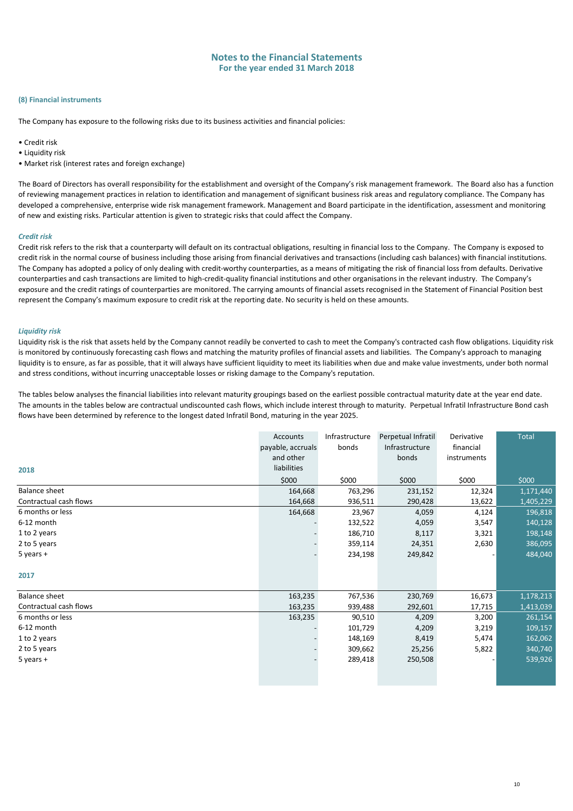#### **(8) Financial instruments**

The Company has exposure to the following risks due to its business activities and financial policies:

- Credit risk
- Liquidity risk
- Market risk (interest rates and foreign exchange)

The Board of Directors has overall responsibility for the establishment and oversight of the Company's risk management framework. The Board also has a function of reviewing management practices in relation to identification and management of significant business risk areas and regulatory compliance. The Company has developed a comprehensive, enterprise wide risk management framework. Management and Board participate in the identification, assessment and monitoring of new and existing risks. Particular attention is given to strategic risks that could affect the Company.

#### *Credit risk*

Credit risk refers to the risk that a counterparty will default on its contractual obligations, resulting in financial loss to the Company. The Company is exposed to credit risk in the normal course of business including those arising from financial derivatives and transactions (including cash balances) with financial institutions. The Company has adopted a policy of only dealing with credit-worthy counterparties, as a means of mitigating the risk of financial loss from defaults. Derivative counterparties and cash transactions are limited to high-credit-quality financial institutions and other organisations in the relevant industry. The Company's exposure and the credit ratings of counterparties are monitored. The carrying amounts of financial assets recognised in the Statement of Financial Position best represent the Company's maximum exposure to credit risk at the reporting date. No security is held on these amounts.

#### *Liquidity risk*

Liquidity risk is the risk that assets held by the Company cannot readily be converted to cash to meet the Company's contracted cash flow obligations. Liquidity risk is monitored by continuously forecasting cash flows and matching the maturity profiles of financial assets and liabilities. The Company's approach to managing liquidity is to ensure, as far as possible, that it will always have sufficient liquidity to meet its liabilities when due and make value investments, under both normal and stress conditions, without incurring unacceptable losses or risking damage to the Company's reputation.

The tables below analyses the financial liabilities into relevant maturity groupings based on the earliest possible contractual maturity date at the year end date. The amounts in the tables below are contractual undiscounted cash flows, which include interest through to maturity. Perpetual Infratil Infrastructure Bond cash flows have been determined by reference to the longest dated Infratil Bond, maturing in the year 2025.

|                        | Accounts          | Infrastructure | Perpetual Infratil | Derivative  | <b>Total</b> |
|------------------------|-------------------|----------------|--------------------|-------------|--------------|
|                        | payable, accruals | bonds          | Infrastructure     | financial   |              |
|                        | and other         |                | bonds              | instruments |              |
| 2018                   | liabilities       |                |                    |             |              |
|                        | \$000             | \$000          | \$000              | \$000       | \$000        |
| <b>Balance sheet</b>   | 164,668           | 763,296        | 231,152            | 12,324      | 1,171,440    |
| Contractual cash flows | 164,668           | 936,511        | 290,428            | 13,622      | 1,405,229    |
| 6 months or less       | 164,668           | 23,967         | 4,059              | 4,124       | 196,818      |
| 6-12 month             |                   | 132,522        | 4,059              | 3,547       | 140,128      |
| 1 to 2 years           |                   | 186,710        | 8,117              | 3,321       | 198,148      |
| 2 to 5 years           |                   | 359,114        | 24,351             | 2,630       | 386,095      |
| $5$ years +            |                   | 234,198        | 249,842            |             | 484,040      |
|                        |                   |                |                    |             |              |
| 2017                   |                   |                |                    |             |              |
| <b>Balance sheet</b>   | 163,235           | 767,536        | 230,769            | 16,673      | 1,178,213    |
| Contractual cash flows | 163,235           | 939,488        | 292,601            | 17,715      | 1,413,039    |
| 6 months or less       | 163,235           | 90,510         | 4,209              | 3,200       | 261,154      |
| 6-12 month             |                   | 101,729        | 4,209              | 3,219       | 109,157      |
| 1 to 2 years           |                   | 148,169        | 8,419              | 5,474       | 162,062      |
| 2 to 5 years           |                   | 309,662        | 25,256             | 5,822       | 340,740      |
| $5$ years +            |                   | 289,418        | 250,508            |             | 539,926      |
|                        |                   |                |                    |             |              |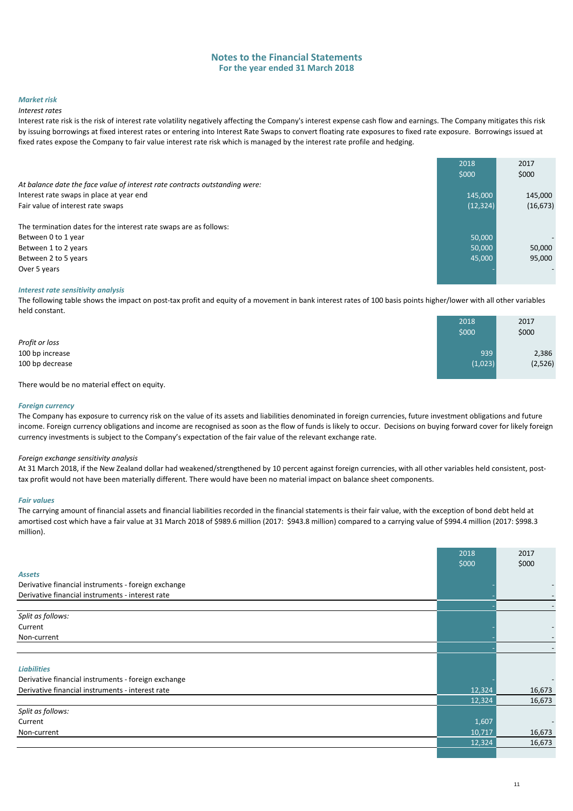#### *Market risk*

#### *Interest rates*

Interest rate risk is the risk of interest rate volatility negatively affecting the Company's interest expense cash flow and earnings. The Company mitigates this risk by issuing borrowings at fixed interest rates or entering into Interest Rate Swaps to convert floating rate exposures to fixed rate exposure. Borrowings issued at fixed rates expose the Company to fair value interest rate risk which is managed by the interest rate profile and hedging.

|                                                                             | 2018      | 2017      |
|-----------------------------------------------------------------------------|-----------|-----------|
|                                                                             | \$000     | \$000     |
| At balance date the face value of interest rate contracts outstanding were: |           |           |
| Interest rate swaps in place at year end                                    | 145,000   | 145,000   |
| Fair value of interest rate swaps                                           | (12, 324) | (16, 673) |
|                                                                             |           |           |
| The termination dates for the interest rate swaps are as follows:           |           |           |
| Between 0 to 1 year                                                         | 50,000    |           |
| Between 1 to 2 years                                                        | 50,000    | 50,000    |
| Between 2 to 5 years                                                        | 45,000    | 95,000    |
| Over 5 years                                                                |           |           |
|                                                                             |           |           |

#### *Interest rate sensitivity analysis*

The following table shows the impact on post-tax profit and equity of a movement in bank interest rates of 100 basis points higher/lower with all other variables held constant.

|                 | 2018    | 2017    |
|-----------------|---------|---------|
|                 | \$000   | \$000   |
| Profit or loss  |         |         |
| 100 bp increase | 939     | 2,386   |
| 100 bp decrease | (1,023) | (2,526) |
|                 |         |         |

There would be no material effect on equity.

#### *Foreign currency*

The Company has exposure to currency risk on the value of its assets and liabilities denominated in foreign currencies, future investment obligations and future income. Foreign currency obligations and income are recognised as soon as the flow of funds is likely to occur. Decisions on buying forward cover for likely foreign currency investments is subject to the Company's expectation of the fair value of the relevant exchange rate.

#### *Foreign exchange sensitivity analysis*

At 31 March 2018, if the New Zealand dollar had weakened/strengthened by 10 percent against foreign currencies, with all other variables held consistent, posttax profit would not have been materially different. There would have been no material impact on balance sheet components.

#### *Fair values*

The carrying amount of financial assets and financial liabilities recorded in the financial statements is their fair value, with the exception of bond debt held at amortised cost which have a fair value at 31 March 2018 of \$989.6 million (2017: \$943.8 million) compared to a carrying value of \$994.4 million (2017: \$998.3 million).

|                                                     | 2018<br>\$000 | 2017<br>\$000            |
|-----------------------------------------------------|---------------|--------------------------|
| <b>Assets</b>                                       |               |                          |
| Derivative financial instruments - foreign exchange |               | $\overline{\phantom{a}}$ |
| Derivative financial instruments - interest rate    |               |                          |
|                                                     |               |                          |
| Split as follows:                                   |               |                          |
| Current                                             |               | $\overline{\phantom{a}}$ |
| Non-current                                         |               |                          |
|                                                     |               |                          |
| <b>Liabilities</b>                                  |               |                          |
| Derivative financial instruments - foreign exchange |               |                          |
| Derivative financial instruments - interest rate    | 12,324        | 16,673                   |
|                                                     | 12,324        | 16,673                   |
| Split as follows:                                   |               |                          |
| Current                                             | 1,607         | $\overline{\phantom{a}}$ |
| Non-current                                         | 10,717        | 16,673                   |
|                                                     | 12,324        | 16,673                   |
|                                                     |               |                          |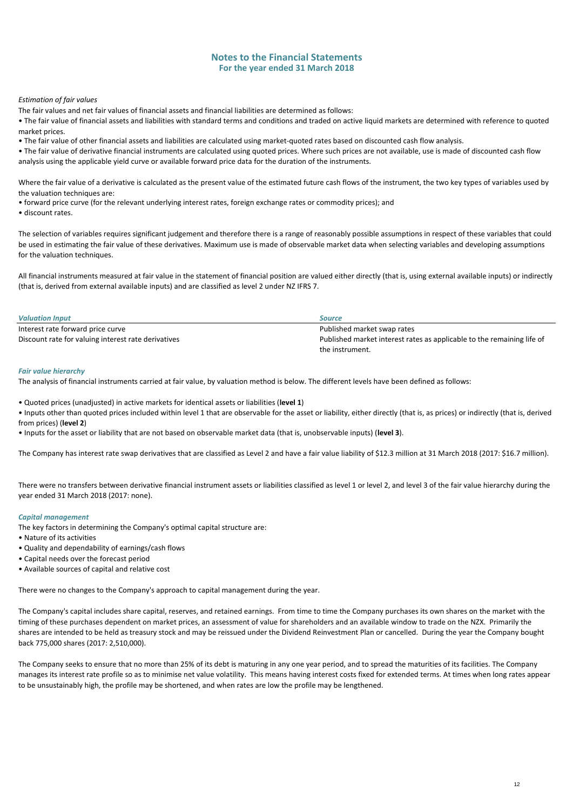#### *Estimation of fair values*

The fair values and net fair values of financial assets and financial liabilities are determined as follows:

• The fair value of financial assets and liabilities with standard terms and conditions and traded on active liquid markets are determined with reference to quoted market prices.

• The fair value of other financial assets and liabilities are calculated using market-quoted rates based on discounted cash flow analysis.

• The fair value of derivative financial instruments are calculated using quoted prices. Where such prices are not available, use is made of discounted cash flow analysis using the applicable yield curve or available forward price data for the duration of the instruments.

Where the fair value of a derivative is calculated as the present value of the estimated future cash flows of the instrument, the two key types of variables used by the valuation techniques are:

- forward price curve (for the relevant underlying interest rates, foreign exchange rates or commodity prices); and
- discount rates.

The selection of variables requires significant judgement and therefore there is a range of reasonably possible assumptions in respect of these variables that could be used in estimating the fair value of these derivatives. Maximum use is made of observable market data when selecting variables and developing assumptions for the valuation techniques.

All financial instruments measured at fair value in the statement of financial position are valued either directly (that is, using external available inputs) or indirectly (that is, derived from external available inputs) and are classified as level 2 under NZ IFRS 7.

| <b>Valuation Input</b>                              | <b>Source</b>                                                          |
|-----------------------------------------------------|------------------------------------------------------------------------|
| Interest rate forward price curve                   | Published market swap rates                                            |
| Discount rate for valuing interest rate derivatives | Published market interest rates as applicable to the remaining life of |
|                                                     | the instrument.                                                        |

#### *Fair value hierarchy*

The analysis of financial instruments carried at fair value, by valuation method is below. The different levels have been defined as follows:

• Quoted prices (unadjusted) in active markets for identical assets or liabilities (**level 1**)

- Inputs other than quoted prices included within level 1 that are observable for the asset or liability, either directly (that is, as prices) or indirectly (that is, derived from prices) (**level 2**)
- Inputs for the asset or liability that are not based on observable market data (that is, unobservable inputs) (**level 3**).

The Company has interest rate swap derivatives that are classified as Level 2 and have a fair value liability of \$12.3 million at 31 March 2018 (2017: \$16.7 million).

There were no transfers between derivative financial instrument assets or liabilities classified as level 1 or level 2, and level 3 of the fair value hierarchy during the year ended 31 March 2018 (2017: none).

#### *Capital management*

The key factors in determining the Company's optimal capital structure are:

- Nature of its activities
- Quality and dependability of earnings/cash flows
- Capital needs over the forecast period
- Available sources of capital and relative cost

There were no changes to the Company's approach to capital management during the year.

The Company's capital includes share capital, reserves, and retained earnings. From time to time the Company purchases its own shares on the market with the timing of these purchases dependent on market prices, an assessment of value for shareholders and an available window to trade on the NZX. Primarily the shares are intended to be held as treasury stock and may be reissued under the Dividend Reinvestment Plan or cancelled. During the year the Company bought back 775,000 shares (2017: 2,510,000).

The Company seeks to ensure that no more than 25% of its debt is maturing in any one year period, and to spread the maturities of its facilities. The Company manages its interest rate profile so as to minimise net value volatility. This means having interest costs fixed for extended terms. At times when long rates appear to be unsustainably high, the profile may be shortened, and when rates are low the profile may be lengthened.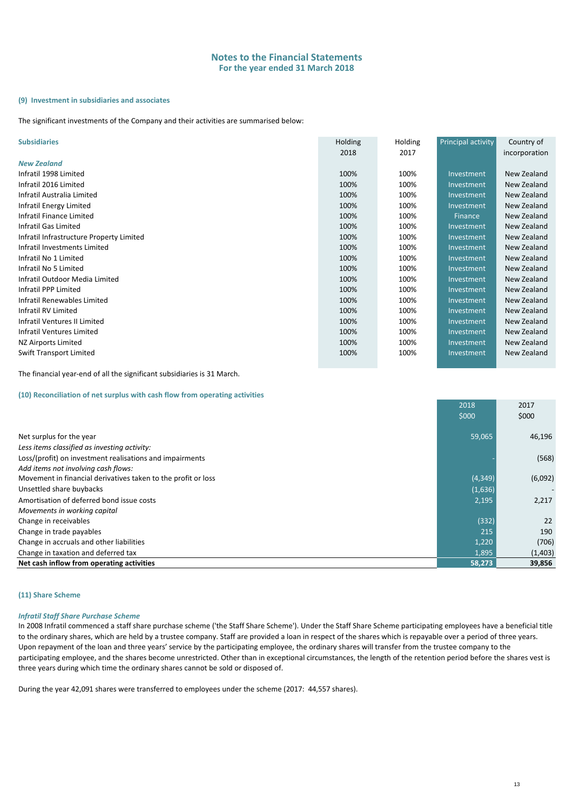#### **(9) Investment in subsidiaries and associates**

The significant investments of the Company and their activities are summarised below:

| <b>Subsidiaries</b>                      | <b>Holding</b> | Holding | Principal activity | Country of    |
|------------------------------------------|----------------|---------|--------------------|---------------|
|                                          | 2018           | 2017    |                    | incorporation |
| <b>New Zealand</b>                       |                |         |                    |               |
| Infratil 1998 Limited                    | 100%           | 100%    | Investment         | New Zealand   |
| Infratil 2016 Limited                    | 100%           | 100%    | Investment         | New Zealand   |
| Infratil Australia Limited               | 100%           | 100%    | Investment         | New Zealand   |
| Infratil Energy Limited                  | 100%           | 100%    | Investment         | New Zealand   |
| Infratil Finance Limited                 | 100%           | 100%    | Finance,           | New Zealand   |
| Infratil Gas Limited                     | 100%           | 100%    | Investment         | New Zealand   |
| Infratil Infrastructure Property Limited | 100%           | 100%    | Investment         | New Zealand   |
| Infratil Investments Limited             | 100%           | 100%    | Investment         | New Zealand   |
| Infratil No 1 Limited                    | 100%           | 100%    | Investment         | New Zealand   |
| Infratil No 5 Limited                    | 100%           | 100%    | Investment         | New Zealand   |
| Infratil Outdoor Media Limited           | 100%           | 100%    | Investment         | New Zealand   |
| Infratil PPP Limited                     | 100%           | 100%    | Investment         | New Zealand   |
| Infratil Renewables Limited              | 100%           | 100%    | Investment         | New Zealand   |
| Infratil RV Limited                      | 100%           | 100%    | Investment         | New Zealand   |
| Infratil Ventures II Limited             | 100%           | 100%    | Investment         | New Zealand   |
| Infratil Ventures Limited                | 100%           | 100%    | Investment         | New Zealand   |
| NZ Airports Limited                      | 100%           | 100%    | Investment         | New Zealand   |
| <b>Swift Transport Limited</b>           | 100%           | 100%    | Investment         | New Zealand   |

The financial year-end of all the significant subsidiaries is 31 March.

#### **(10) Reconciliation of net surplus with cash flow from operating activities**

|                                                               | 2018     | 2017    |
|---------------------------------------------------------------|----------|---------|
|                                                               | \$000    | \$000   |
|                                                               |          |         |
| Net surplus for the year                                      | 59,065   | 46,196  |
| Less items classified as investing activity:                  |          |         |
| Loss/(profit) on investment realisations and impairments      |          | (568)   |
| Add items not involving cash flows:                           |          |         |
| Movement in financial derivatives taken to the profit or loss | (4, 349) | (6,092) |
| Unsettled share buybacks                                      | (1,636)  |         |
| Amortisation of deferred bond issue costs                     | 2,195    | 2,217   |
| Movements in working capital                                  |          |         |
| Change in receivables                                         | (332)    | 22      |
| Change in trade payables                                      | 215      | 190     |
| Change in accruals and other liabilities                      | 1,220    | (706)   |
| Change in taxation and deferred tax                           | 1,895    | (1,403) |
| Net cash inflow from operating activities                     | 58,273   | 39,856  |

#### **(11) Share Scheme**

#### *Infratil Staff Share Purchase Scheme*

In 2008 Infratil commenced a staff share purchase scheme ('the Staff Share Scheme'). Under the Staff Share Scheme participating employees have a beneficial title to the ordinary shares, which are held by a trustee company. Staff are provided a loan in respect of the shares which is repayable over a period of three years. Upon repayment of the loan and three years' service by the participating employee, the ordinary shares will transfer from the trustee company to the participating employee, and the shares become unrestricted. Other than in exceptional circumstances, the length of the retention period before the shares vest is three years during which time the ordinary shares cannot be sold or disposed of.

During the year 42,091 shares were transferred to employees under the scheme (2017: 44,557 shares).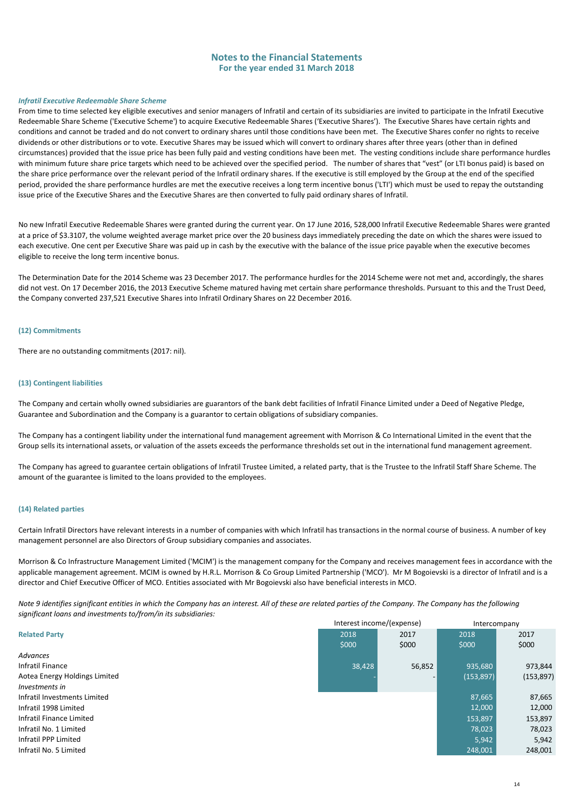#### *Infratil Executive Redeemable Share Scheme*

From time to time selected key eligible executives and senior managers of Infratil and certain of its subsidiaries are invited to participate in the Infratil Executive Redeemable Share Scheme ('Executive Scheme') to acquire Executive Redeemable Shares ('Executive Shares'). The Executive Shares have certain rights and conditions and cannot be traded and do not convert to ordinary shares until those conditions have been met. The Executive Shares confer no rights to receive dividends or other distributions or to vote. Executive Shares may be issued which will convert to ordinary shares after three years (other than in defined circumstances) provided that the issue price has been fully paid and vesting conditions have been met. The vesting conditions include share performance hurdles with minimum future share price targets which need to be achieved over the specified period. The number of shares that "vest" (or LTI bonus paid) is based on the share price performance over the relevant period of the Infratil ordinary shares. If the executive is still employed by the Group at the end of the specified period, provided the share performance hurdles are met the executive receives a long term incentive bonus ('LTI') which must be used to repay the outstanding issue price of the Executive Shares and the Executive Shares are then converted to fully paid ordinary shares of Infratil.

No new Infratil Executive Redeemable Shares were granted during the current year. On 17 June 2016, 528,000 Infratil Executive Redeemable Shares were granted at a price of \$3.3107, the volume weighted average market price over the 20 business days immediately preceding the date on which the shares were issued to each executive. One cent per Executive Share was paid up in cash by the executive with the balance of the issue price payable when the executive becomes eligible to receive the long term incentive bonus.

The Determination Date for the 2014 Scheme was 23 December 2017. The performance hurdles for the 2014 Scheme were not met and, accordingly, the shares did not vest. On 17 December 2016, the 2013 Executive Scheme matured having met certain share performance thresholds. Pursuant to this and the Trust Deed, the Company converted 237,521 Executive Shares into Infratil Ordinary Shares on 22 December 2016.

#### **(12) Commitments**

There are no outstanding commitments (2017: nil).

#### **(13) Contingent liabilities**

The Company and certain wholly owned subsidiaries are guarantors of the bank debt facilities of Infratil Finance Limited under a Deed of Negative Pledge, Guarantee and Subordination and the Company is a guarantor to certain obligations of subsidiary companies.

The Company has a contingent liability under the international fund management agreement with Morrison & Co International Limited in the event that the Group sells its international assets, or valuation of the assets exceeds the performance thresholds set out in the international fund management agreement.

The Company has agreed to guarantee certain obligations of Infratil Trustee Limited, a related party, that is the Trustee to the Infratil Staff Share Scheme. The amount of the guarantee is limited to the loans provided to the employees.

#### **(14) Related parties**

Certain Infratil Directors have relevant interests in a number of companies with which Infratil has transactions in the normal course of business. A number of key management personnel are also Directors of Group subsidiary companies and associates.

Morrison & Co Infrastructure Management Limited ('MCIM') is the management company for the Company and receives management fees in accordance with the applicable management agreement. MCIM is owned by H.R.L. Morrison & Co Group Limited Partnership ('MCO'). Mr M Bogoievski is a director of Infratil and is a director and Chief Executive Officer of MCO. Entities associated with Mr Bogoievski also have beneficial interests in MCO.

*Note 9 identifies significant entities in which the Company has an interest. All of these are related parties of the Company. The Company has the following significant loans and investments to/from/in its subsidiaries:*

| <b>Related Party</b><br>2018<br>2018<br>2017<br>2017<br>\$000<br>\$000<br>\$000<br>\$000 |
|------------------------------------------------------------------------------------------|
|                                                                                          |
|                                                                                          |
| Advances                                                                                 |
| Infratil Finance<br>56,852<br>38,428<br>935,680<br>973,844                               |
| Aotea Energy Holdings Limited<br>(153, 897)<br>(153, 897)                                |
| Investments in                                                                           |
| 87,665<br>87,665<br>Infratil Investments Limited                                         |
| 12.000<br>12,000<br>Infratil 1998 Limited                                                |
| Infratil Finance Limited<br>153,897<br>153,897                                           |
| Infratil No. 1 Limited<br>78.023<br>78,023                                               |
| Infratil PPP Limited<br>5.942<br>5,942                                                   |
| Infratil No. 5 Limited<br>248,001<br>248,001                                             |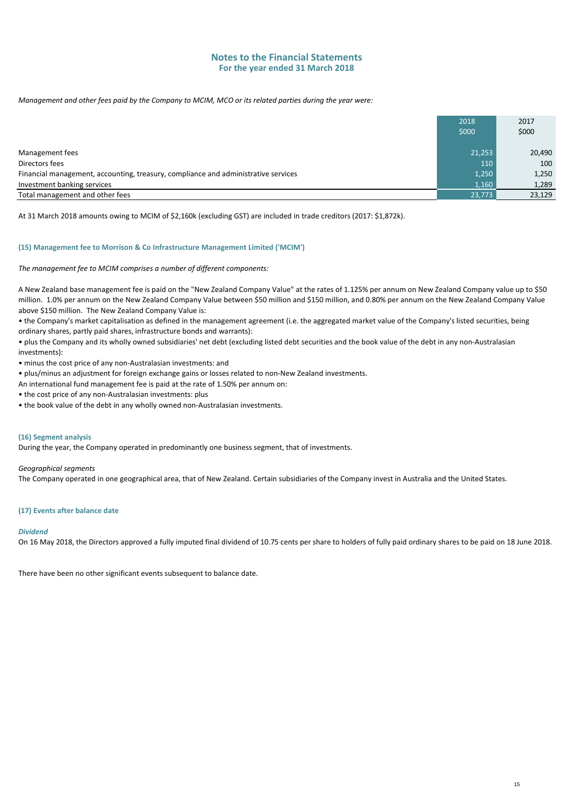*Management and other fees paid by the Company to MCIM, MCO or its related parties during the year were:*

|                                                                                    | 2018<br>\$000 | 2017<br>\$000 |
|------------------------------------------------------------------------------------|---------------|---------------|
| Management fees                                                                    | 21,253        | 20,490        |
| Directors fees                                                                     | 110           | 100           |
| Financial management, accounting, treasury, compliance and administrative services | 1,250         | 1,250         |
| Investment banking services                                                        | 1,160         | 1,289         |
| Total management and other fees                                                    | 23,773        | 23,129        |

At 31 March 2018 amounts owing to MCIM of \$2,160k (excluding GST) are included in trade creditors (2017: \$1,872k).

#### **(15) Management fee to Morrison & Co Infrastructure Management Limited ('MCIM')**

*The management fee to MCIM comprises a number of different components:*

A New Zealand base management fee is paid on the "New Zealand Company Value" at the rates of 1.125% per annum on New Zealand Company value up to \$50 million. 1.0% per annum on the New Zealand Company Value between \$50 million and \$150 million, and 0.80% per annum on the New Zealand Company Value above \$150 million. The New Zealand Company Value is:

• the Company's market capitalisation as defined in the management agreement (i.e. the aggregated market value of the Company's listed securities, being ordinary shares, partly paid shares, infrastructure bonds and warrants):

• plus the Company and its wholly owned subsidiaries' net debt (excluding listed debt securities and the book value of the debt in any non-Australasian investments):

• minus the cost price of any non-Australasian investments: and

• plus/minus an adjustment for foreign exchange gains or losses related to non-New Zealand investments.

An international fund management fee is paid at the rate of 1.50% per annum on:

• the cost price of any non-Australasian investments: plus

• the book value of the debt in any wholly owned non-Australasian investments.

#### **(16) Segment analysis**

During the year, the Company operated in predominantly one business segment, that of investments.

#### *Geographical segments*

The Company operated in one geographical area, that of New Zealand. Certain subsidiaries of the Company invest in Australia and the United States.

#### **(17) Events after balance date**

#### *Dividend*

On 16 May 2018, the Directors approved a fully imputed final dividend of 10.75 cents per share to holders of fully paid ordinary shares to be paid on 18 June 2018.

There have been no other significant events subsequent to balance date.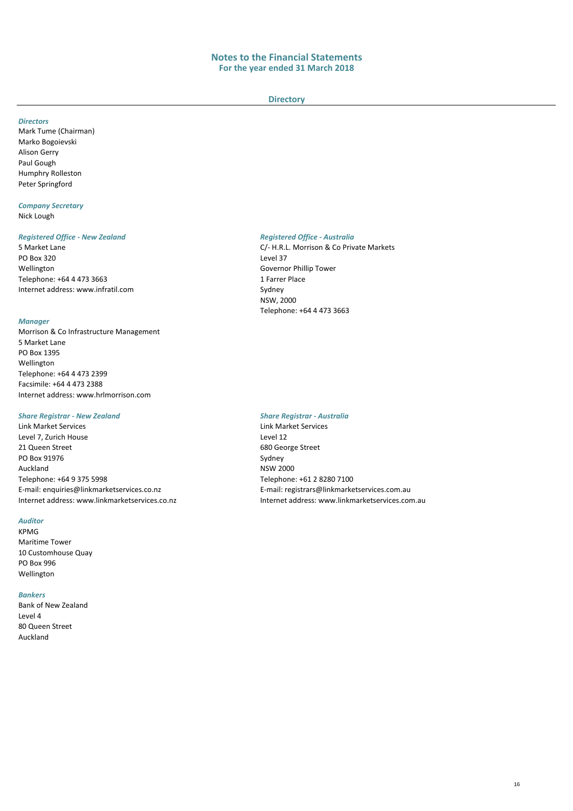#### **Directory**

#### *Directors*

Mark Tume (Chairman) Marko Bogoievski Alison Gerry Paul Gough Humphry Rolleston Peter Springford

#### *Company Secretary* Nick Lough

#### *Registered Office - New Zealand Registered Office - Australia*

PO Box 320<br>Wellington Telephone: +64 4 473 3663<br>
Internet address: www.infratil.com Sydney

[Internet address: www.infratil.com](http://www.infratil.com/)

#### *Manager*

Morrison & Co Infrastructure Management 5 Market Lane PO Box 1395 Wellington Telephone: +64 4 473 2399 Facsimile: +64 4 473 2388 Internet address: www.hrlmorrison.com

#### *Share Registrar - New Zealand Share Registrar - Australia*

Link Market Services Link Market Services Level 7, Zurich House Level 12<br>21 Queen Street Level 12 PO Box 91976 Sydney Auckland<br>
Telephone: +64 9 375 5998<br>
Telephone: +64 9 375 5998 Telephone: +64 9 375 5998<br>E-mail: enquiries@linkmarketservices.co.nz

#### *Auditor*

KPMG Maritime Tower 10 Customhouse Quay PO Box 996 Wellington

#### *Bankers*

Bank of New Zealand Level 4 80 Queen Street Auckland

5 Market Lane C/- H.R.L. Morrison & Co Private Markets Governor Phillip Tower<br>1 Farrer Place NSW, 2000 Telephone: +64 4 473 3663

680 George Street E-mail: registrars@linkmarketservices.com.au Internet address: www.linkmarketservices.co.nz Internet address: www.linkmarketservices.com.au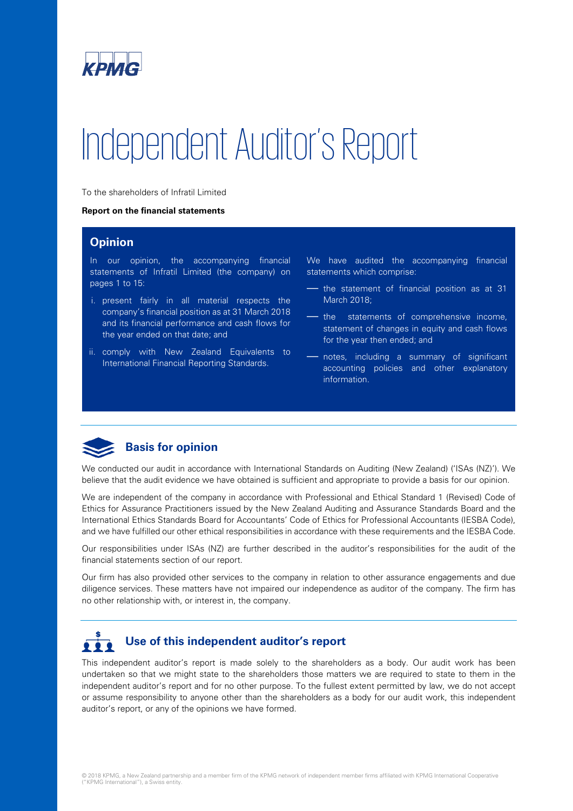

# Independent Auditor's Report

To the shareholders of Infratil Limited

#### **Report on the financial statements**

## **Opinion**

In our opinion, the accompanying financial statements of Infratil Limited (the company) on pages 1 to 15:

- i. present fairly in all material respects the company's financial position as at 31 March 2018 and its financial performance and cash flows for the year ended on that date; and
- ii. comply with New Zealand Equivalents to International Financial Reporting Standards.

We have audited the accompanying financial statements which comprise:

— the statement of financial position as at 31 March 2018;

— the statements of comprehensive income, statement of changes in equity and cash flows for the year then ended; and

— notes, including a summary of significant accounting policies and other explanatory information.

## **Basis for opinion**

We conducted our audit in accordance with International Standards on Auditing (New Zealand) ('ISAs (NZ)'). We believe that the audit evidence we have obtained is sufficient and appropriate to provide a basis for our opinion.

We are independent of the company in accordance with Professional and Ethical Standard 1 (Revised) Code of Ethics for Assurance Practitioners issued by the New Zealand Auditing and Assurance Standards Board and the International Ethics Standards Board for Accountants' Code of Ethics for Professional Accountants (IESBA Code), and we have fulfilled our other ethical responsibilities in accordance with these requirements and the IESBA Code.

Our responsibilities under ISAs (NZ) are further described in the auditor's responsibilities for the audit of the financial statements section of our report.

Our firm has also provided other services to the company in relation to other assurance engagements and due diligence services. These matters have not impaired our independence as auditor of the company. The firm has no other relationship with, or interest in, the company.

# **Use of this independent auditor's report**

This independent auditor's report is made solely to the shareholders as a body. Our audit work has been undertaken so that we might state to the shareholders those matters we are required to state to them in the independent auditor's report and for no other purpose. To the fullest extent permitted by law, we do not accept or assume responsibility to anyone other than the shareholders as a body for our audit work, this independent auditor's report, or any of the opinions we have formed.